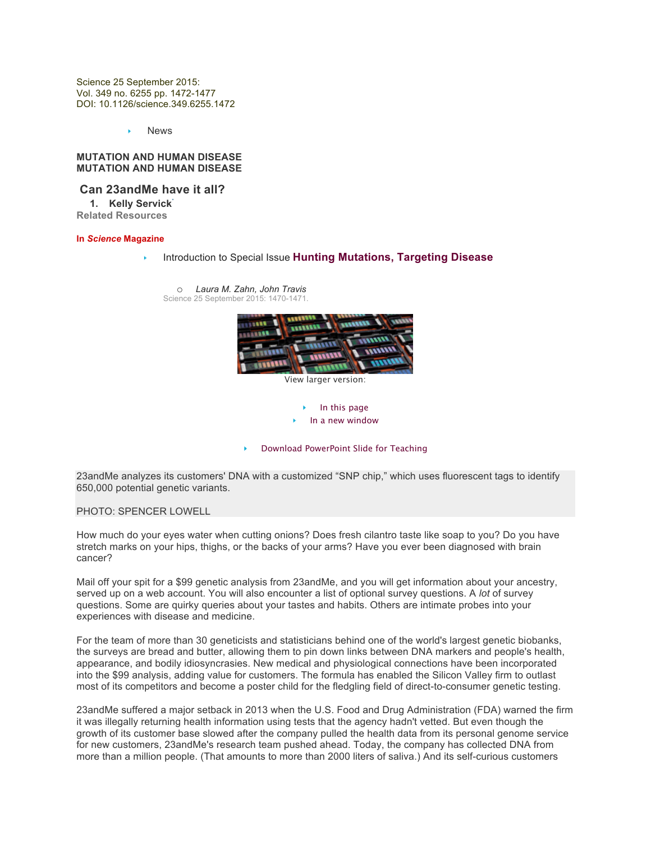Science 25 September 2015: Vol. 349 no. 6255 pp. 1472-1477 DOI: 10.1126/science.349.6255.1472

News

#### **MUTATION AND HUMAN DISEASE MUTATION AND HUMAN DISEASE**

# **Can 23andMe have it all?**

**1. Kelly Servick**\* **Related Resources**

#### **In** *Science* **Magazine**

Introduction to Special Issue **Hunting Mutations, Targeting Disease** 



23andMe analyzes its customers' DNA with a customized "SNP chip," which uses fluorescent tags to identify 650,000 potential genetic variants.

PHOTO: SPENCER LOWELL

How much do your eyes water when cutting onions? Does fresh cilantro taste like soap to you? Do you have stretch marks on your hips, thighs, or the backs of your arms? Have you ever been diagnosed with brain cancer?

Mail off your spit for a \$99 genetic analysis from 23andMe, and you will get information about your ancestry, served up on a web account. You will also encounter a list of optional survey questions. A *lot* of survey questions. Some are quirky queries about your tastes and habits. Others are intimate probes into your experiences with disease and medicine.

For the team of more than 30 geneticists and statisticians behind one of the world's largest genetic biobanks, the surveys are bread and butter, allowing them to pin down links between DNA markers and people's health, appearance, and bodily idiosyncrasies. New medical and physiological connections have been incorporated into the \$99 analysis, adding value for customers. The formula has enabled the Silicon Valley firm to outlast most of its competitors and become a poster child for the fledgling field of direct-to-consumer genetic testing.

23andMe suffered a major setback in 2013 when the U.S. Food and Drug Administration (FDA) warned the firm it was illegally returning health information using tests that the agency hadn't vetted. But even though the growth of its customer base slowed after the company pulled the health data from its personal genome service for new customers, 23andMe's research team pushed ahead. Today, the company has collected DNA from more than a million people. (That amounts to more than 2000 liters of saliva.) And its self-curious customers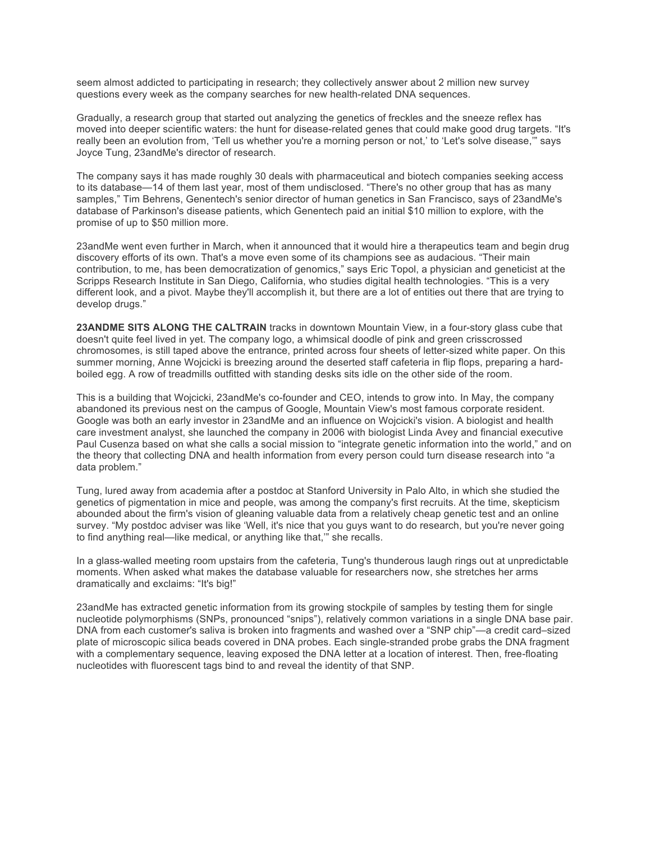seem almost addicted to participating in research; they collectively answer about 2 million new survey questions every week as the company searches for new health-related DNA sequences.

Gradually, a research group that started out analyzing the genetics of freckles and the sneeze reflex has moved into deeper scientific waters: the hunt for disease-related genes that could make good drug targets. "It's really been an evolution from, 'Tell us whether you're a morning person or not,' to 'Let's solve disease," says Joyce Tung, 23andMe's director of research.

The company says it has made roughly 30 deals with pharmaceutical and biotech companies seeking access to its database—14 of them last year, most of them undisclosed. "There's no other group that has as many samples," Tim Behrens, Genentech's senior director of human genetics in San Francisco, says of 23andMe's database of Parkinson's disease patients, which Genentech paid an initial \$10 million to explore, with the promise of up to \$50 million more.

23andMe went even further in March, when it announced that it would hire a therapeutics team and begin drug discovery efforts of its own. That's a move even some of its champions see as audacious. "Their main contribution, to me, has been democratization of genomics," says Eric Topol, a physician and geneticist at the Scripps Research Institute in San Diego, California, who studies digital health technologies. "This is a very different look, and a pivot. Maybe they'll accomplish it, but there are a lot of entities out there that are trying to develop drugs."

**23ANDME SITS ALONG THE CALTRAIN** tracks in downtown Mountain View, in a four-story glass cube that doesn't quite feel lived in yet. The company logo, a whimsical doodle of pink and green crisscrossed chromosomes, is still taped above the entrance, printed across four sheets of letter-sized white paper. On this summer morning, Anne Wojcicki is breezing around the deserted staff cafeteria in flip flops, preparing a hardboiled egg. A row of treadmills outfitted with standing desks sits idle on the other side of the room.

This is a building that Wojcicki, 23andMe's co-founder and CEO, intends to grow into. In May, the company abandoned its previous nest on the campus of Google, Mountain View's most famous corporate resident. Google was both an early investor in 23andMe and an influence on Wojcicki's vision. A biologist and health care investment analyst, she launched the company in 2006 with biologist Linda Avey and financial executive Paul Cusenza based on what she calls a social mission to "integrate genetic information into the world," and on the theory that collecting DNA and health information from every person could turn disease research into "a data problem."

Tung, lured away from academia after a postdoc at Stanford University in Palo Alto, in which she studied the genetics of pigmentation in mice and people, was among the company's first recruits. At the time, skepticism abounded about the firm's vision of gleaning valuable data from a relatively cheap genetic test and an online survey. "My postdoc adviser was like 'Well, it's nice that you guys want to do research, but you're never going to find anything real—like medical, or anything like that,'" she recalls.

In a glass-walled meeting room upstairs from the cafeteria, Tung's thunderous laugh rings out at unpredictable moments. When asked what makes the database valuable for researchers now, she stretches her arms dramatically and exclaims: "It's big!"

23andMe has extracted genetic information from its growing stockpile of samples by testing them for single nucleotide polymorphisms (SNPs, pronounced "snips"), relatively common variations in a single DNA base pair. DNA from each customer's saliva is broken into fragments and washed over a "SNP chip"—a credit card–sized plate of microscopic silica beads covered in DNA probes. Each single-stranded probe grabs the DNA fragment with a complementary sequence, leaving exposed the DNA letter at a location of interest. Then, free-floating nucleotides with fluorescent tags bind to and reveal the identity of that SNP.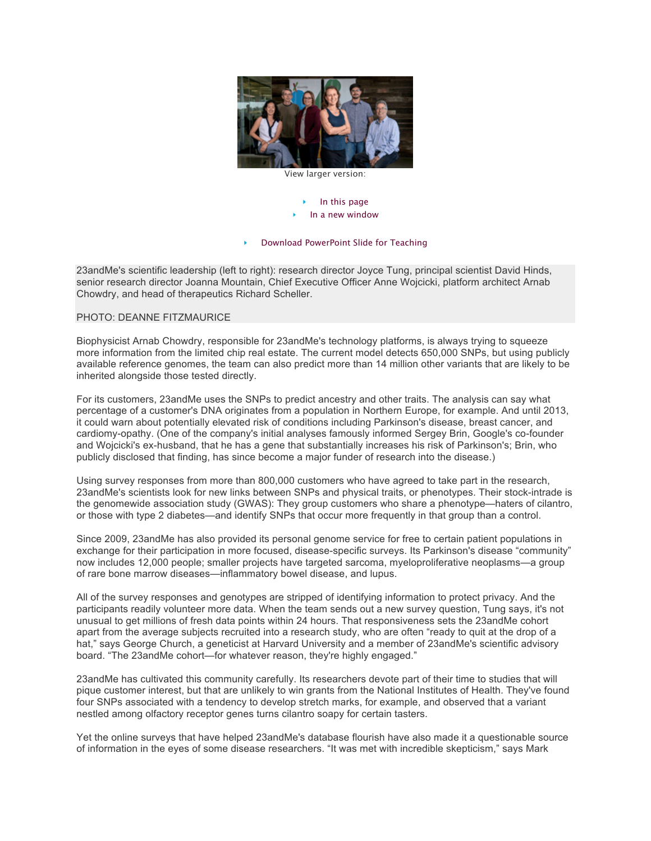

View larger version:

### In this page In a new window

### Download PowerPoint Slide for Teaching

23andMe's scientific leadership (left to right): research director Joyce Tung, principal scientist David Hinds, senior research director Joanna Mountain, Chief Executive Officer Anne Wojcicki, platform architect Arnab Chowdry, and head of therapeutics Richard Scheller.

## PHOTO: DEANNE FITZMAURICE

Biophysicist Arnab Chowdry, responsible for 23andMe's technology platforms, is always trying to squeeze more information from the limited chip real estate. The current model detects 650,000 SNPs, but using publicly available reference genomes, the team can also predict more than 14 million other variants that are likely to be inherited alongside those tested directly.

For its customers, 23andMe uses the SNPs to predict ancestry and other traits. The analysis can say what percentage of a customer's DNA originates from a population in Northern Europe, for example. And until 2013, it could warn about potentially elevated risk of conditions including Parkinson's disease, breast cancer, and cardiomy-opathy. (One of the company's initial analyses famously informed Sergey Brin, Google's co-founder and Wojcicki's ex-husband, that he has a gene that substantially increases his risk of Parkinson's; Brin, who publicly disclosed that finding, has since become a major funder of research into the disease.)

Using survey responses from more than 800,000 customers who have agreed to take part in the research, 23andMe's scientists look for new links between SNPs and physical traits, or phenotypes. Their stock-intrade is the genomewide association study (GWAS): They group customers who share a phenotype—haters of cilantro, or those with type 2 diabetes—and identify SNPs that occur more frequently in that group than a control.

Since 2009, 23andMe has also provided its personal genome service for free to certain patient populations in exchange for their participation in more focused, disease-specific surveys. Its Parkinson's disease "community" now includes 12,000 people; smaller projects have targeted sarcoma, myeloproliferative neoplasms—a group of rare bone marrow diseases—inflammatory bowel disease, and lupus.

All of the survey responses and genotypes are stripped of identifying information to protect privacy. And the participants readily volunteer more data. When the team sends out a new survey question, Tung says, it's not unusual to get millions of fresh data points within 24 hours. That responsiveness sets the 23andMe cohort apart from the average subjects recruited into a research study, who are often "ready to quit at the drop of a hat," says George Church, a geneticist at Harvard University and a member of 23andMe's scientific advisory board. "The 23andMe cohort—for whatever reason, they're highly engaged."

23andMe has cultivated this community carefully. Its researchers devote part of their time to studies that will pique customer interest, but that are unlikely to win grants from the National Institutes of Health. They've found four SNPs associated with a tendency to develop stretch marks, for example, and observed that a variant nestled among olfactory receptor genes turns cilantro soapy for certain tasters.

Yet the online surveys that have helped 23andMe's database flourish have also made it a questionable source of information in the eyes of some disease researchers. "It was met with incredible skepticism," says Mark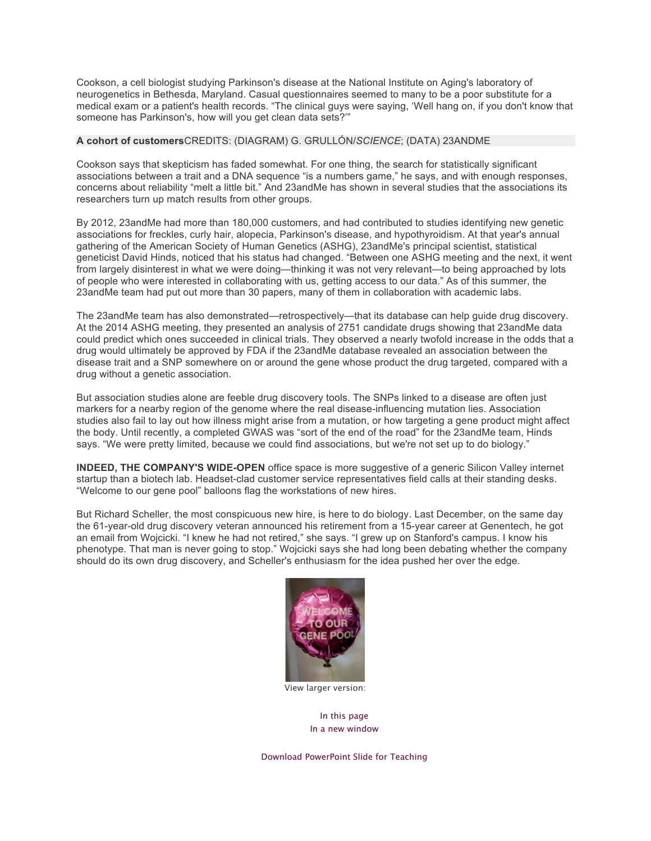Cookson, a cell biologist studying Parkinson's disease at the National Institute on Aging's laboratory of neurogenetics in Bethesda, Maryland. Casual questionnaires seemed to many to be a poor substitute for a medical exam or a patient's health records. "The clinical guys were saying, 'Well hang on, if you don't know that someone has Parkinson's, how will you get clean data sets?'"

## **A cohort of customers**CREDITS: (DIAGRAM) G. GRULLÓN/*SCIENCE*; (DATA) 23ANDME

Cookson says that skepticism has faded somewhat. For one thing, the search for statistically significant associations between a trait and a DNA sequence "is a numbers game," he says, and with enough responses, concerns about reliability "melt a little bit." And 23andMe has shown in several studies that the associations its researchers turn up match results from other groups.

By 2012, 23andMe had more than 180,000 customers, and had contributed to studies identifying new genetic associations for freckles, curly hair, alopecia, Parkinson's disease, and hypothyroidism. At that year's annual gathering of the American Society of Human Genetics (ASHG), 23andMe's principal scientist, statistical geneticist David Hinds, noticed that his status had changed. "Between one ASHG meeting and the next, it went from largely disinterest in what we were doing—thinking it was not very relevant—to being approached by lots of people who were interested in collaborating with us, getting access to our data." As of this summer, the 23andMe team had put out more than 30 papers, many of them in collaboration with academic labs.

The 23andMe team has also demonstrated—retrospectively—that its database can help guide drug discovery. At the 2014 ASHG meeting, they presented an analysis of 2751 candidate drugs showing that 23andMe data could predict which ones succeeded in clinical trials. They observed a nearly twofold increase in the odds that a drug would ultimately be approved by FDA if the 23andMe database revealed an association between the disease trait and a SNP somewhere on or around the gene whose product the drug targeted, compared with a drug without a genetic association.

But association studies alone are feeble drug discovery tools. The SNPs linked to a disease are often just markers for a nearby region of the genome where the real disease-influencing mutation lies. Association studies also fail to lay out how illness might arise from a mutation, or how targeting a gene product might affect the body. Until recently, a completed GWAS was "sort of the end of the road" for the 23andMe team, Hinds says. "We were pretty limited, because we could find associations, but we're not set up to do biology."

**INDEED, THE COMPANY'S WIDE-OPEN** office space is more suggestive of a generic Silicon Valley internet startup than a biotech lab. Headset-clad customer service representatives field calls at their standing desks. "Welcome to our gene pool" balloons flag the workstations of new hires.

But Richard Scheller, the most conspicuous new hire, is here to do biology. Last December, on the same day the 61-year-old drug discovery veteran announced his retirement from a 15-year career at Genentech, he got an email from Wojcicki. "I knew he had not retired," she says. "I grew up on Stanford's campus. I know his phenotype. That man is never going to stop." Wojcicki says she had long been debating whether the company should do its own drug discovery, and Scheller's enthusiasm for the idea pushed her over the edge.



View larger version:

In this page In a new window

Download PowerPoint Slide for Teaching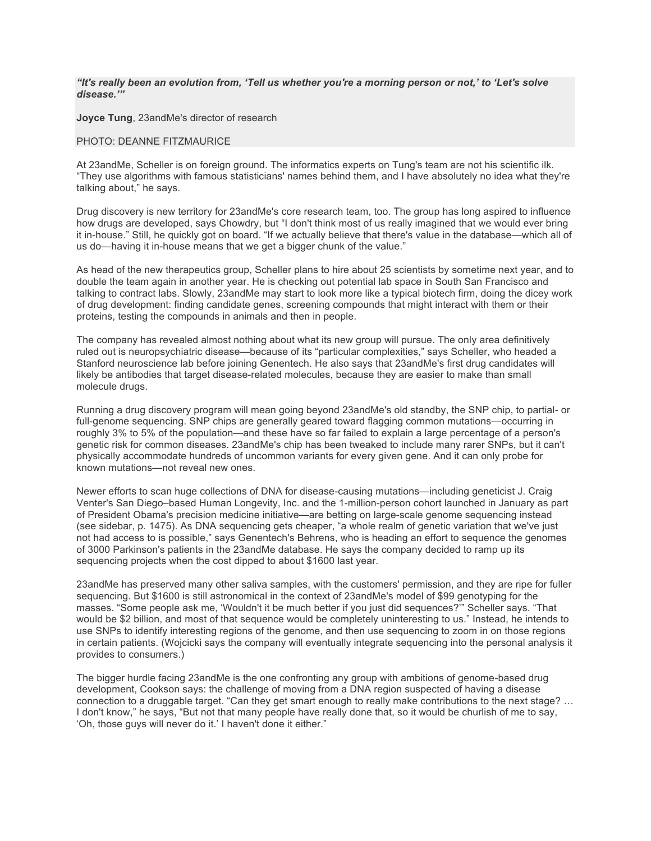## *"It's really been an evolution from, 'Tell us whether you're a morning person or not,' to 'Let's solve disease.'"*

**Joyce Tung**, 23andMe's director of research

### PHOTO: DEANNE FITZMAURICE

At 23andMe, Scheller is on foreign ground. The informatics experts on Tung's team are not his scientific ilk. "They use algorithms with famous statisticians' names behind them, and I have absolutely no idea what they're talking about," he says.

Drug discovery is new territory for 23andMe's core research team, too. The group has long aspired to influence how drugs are developed, says Chowdry, but "I don't think most of us really imagined that we would ever bring it in-house." Still, he quickly got on board. "If we actually believe that there's value in the database—which all of us do—having it in-house means that we get a bigger chunk of the value."

As head of the new therapeutics group, Scheller plans to hire about 25 scientists by sometime next year, and to double the team again in another year. He is checking out potential lab space in South San Francisco and talking to contract labs. Slowly, 23andMe may start to look more like a typical biotech firm, doing the dicey work of drug development: finding candidate genes, screening compounds that might interact with them or their proteins, testing the compounds in animals and then in people.

The company has revealed almost nothing about what its new group will pursue. The only area definitively ruled out is neuropsychiatric disease—because of its "particular complexities," says Scheller, who headed a Stanford neuroscience lab before joining Genentech. He also says that 23andMe's first drug candidates will likely be antibodies that target disease-related molecules, because they are easier to make than small molecule drugs.

Running a drug discovery program will mean going beyond 23andMe's old standby, the SNP chip, to partial- or full-genome sequencing. SNP chips are generally geared toward flagging common mutations—occurring in roughly 3% to 5% of the population—and these have so far failed to explain a large percentage of a person's genetic risk for common diseases. 23andMe's chip has been tweaked to include many rarer SNPs, but it can't physically accommodate hundreds of uncommon variants for every given gene. And it can only probe for known mutations—not reveal new ones.

Newer efforts to scan huge collections of DNA for disease-causing mutations—including geneticist J. Craig Venter's San Diego–based Human Longevity, Inc. and the 1-million-person cohort launched in January as part of President Obama's precision medicine initiative—are betting on large-scale genome sequencing instead (see sidebar, p. 1475). As DNA sequencing gets cheaper, "a whole realm of genetic variation that we've just not had access to is possible," says Genentech's Behrens, who is heading an effort to sequence the genomes of 3000 Parkinson's patients in the 23andMe database. He says the company decided to ramp up its sequencing projects when the cost dipped to about \$1600 last year.

23andMe has preserved many other saliva samples, with the customers' permission, and they are ripe for fuller sequencing. But \$1600 is still astronomical in the context of 23andMe's model of \$99 genotyping for the masses. "Some people ask me, 'Wouldn't it be much better if you just did sequences?'" Scheller says. "That would be \$2 billion, and most of that sequence would be completely uninteresting to us." Instead, he intends to use SNPs to identify interesting regions of the genome, and then use sequencing to zoom in on those regions in certain patients. (Wojcicki says the company will eventually integrate sequencing into the personal analysis it provides to consumers.)

The bigger hurdle facing 23andMe is the one confronting any group with ambitions of genome-based drug development, Cookson says: the challenge of moving from a DNA region suspected of having a disease connection to a druggable target. "Can they get smart enough to really make contributions to the next stage? … I don't know," he says, "But not that many people have really done that, so it would be churlish of me to say, 'Oh, those guys will never do it.' I haven't done it either."